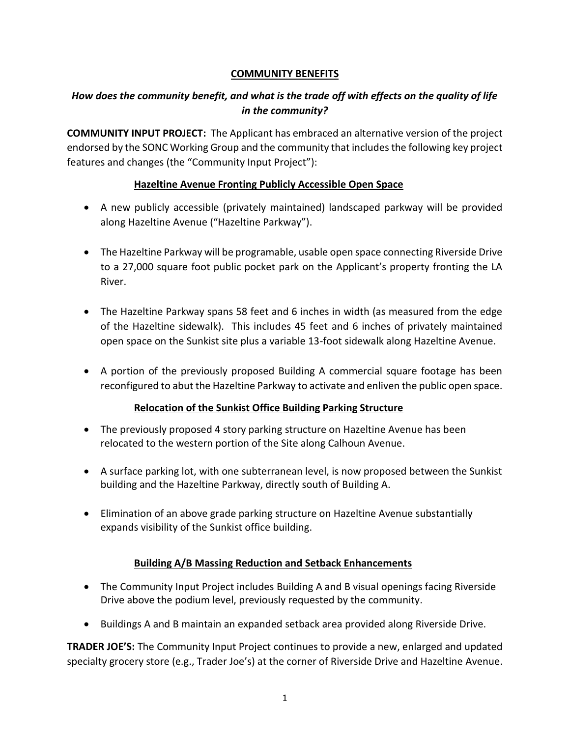## **COMMUNITY BENEFITS**

# *How does the community benefit, and what is the trade off with effects on the quality of life in the community?*

**COMMUNITY INPUT PROJECT:** The Applicant has embraced an alternative version of the project endorsed by the SONC Working Group and the community that includes the following key project features and changes (the "Community Input Project"):

## **Hazeltine Avenue Fronting Publicly Accessible Open Space**

- A new publicly accessible (privately maintained) landscaped parkway will be provided along Hazeltine Avenue ("Hazeltine Parkway").
- The Hazeltine Parkway will be programable, usable open space connecting Riverside Drive to a 27,000 square foot public pocket park on the Applicant's property fronting the LA River.
- The Hazeltine Parkway spans 58 feet and 6 inches in width (as measured from the edge of the Hazeltine sidewalk). This includes 45 feet and 6 inches of privately maintained open space on the Sunkist site plus a variable 13-foot sidewalk along Hazeltine Avenue.
- A portion of the previously proposed Building A commercial square footage has been reconfigured to abut the Hazeltine Parkway to activate and enliven the public open space.

## **Relocation of the Sunkist Office Building Parking Structure**

- The previously proposed 4 story parking structure on Hazeltine Avenue has been relocated to the western portion of the Site along Calhoun Avenue.
- A surface parking lot, with one subterranean level, is now proposed between the Sunkist building and the Hazeltine Parkway, directly south of Building A.
- Elimination of an above grade parking structure on Hazeltine Avenue substantially expands visibility of the Sunkist office building.

# **Building A/B Massing Reduction and Setback Enhancements**

- The Community Input Project includes Building A and B visual openings facing Riverside Drive above the podium level, previously requested by the community.
- Buildings A and B maintain an expanded setback area provided along Riverside Drive.

**TRADER JOE'S:** The Community Input Project continues to provide a new, enlarged and updated specialty grocery store (e.g., Trader Joe's) at the corner of Riverside Drive and Hazeltine Avenue.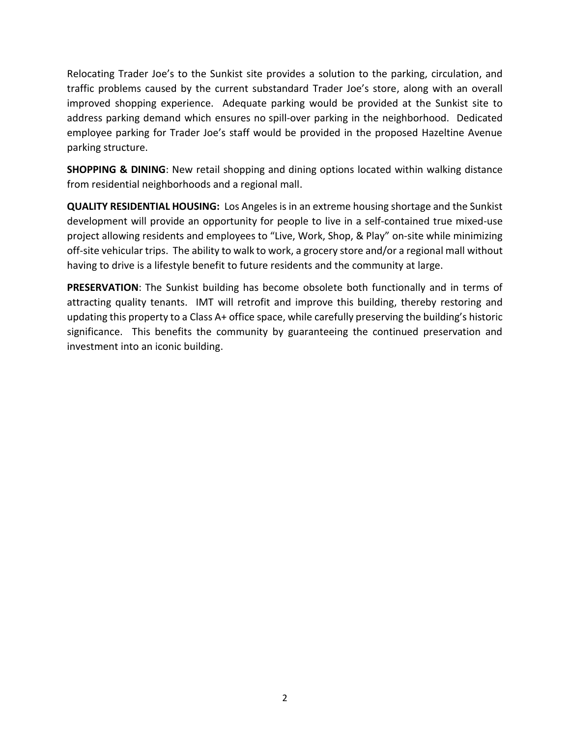Relocating Trader Joe's to the Sunkist site provides a solution to the parking, circulation, and traffic problems caused by the current substandard Trader Joe's store, along with an overall improved shopping experience. Adequate parking would be provided at the Sunkist site to address parking demand which ensures no spill-over parking in the neighborhood. Dedicated employee parking for Trader Joe's staff would be provided in the proposed Hazeltine Avenue parking structure.

**SHOPPING & DINING**: New retail shopping and dining options located within walking distance from residential neighborhoods and a regional mall.

**QUALITY RESIDENTIAL HOUSING:** Los Angeles is in an extreme housing shortage and the Sunkist development will provide an opportunity for people to live in a self-contained true mixed-use project allowing residents and employees to "Live, Work, Shop, & Play" on-site while minimizing off-site vehicular trips. The ability to walk to work, a grocery store and/or a regional mall without having to drive is a lifestyle benefit to future residents and the community at large.

**PRESERVATION**: The Sunkist building has become obsolete both functionally and in terms of attracting quality tenants. IMT will retrofit and improve this building, thereby restoring and updating this property to a Class A+ office space, while carefully preserving the building's historic significance. This benefits the community by guaranteeing the continued preservation and investment into an iconic building.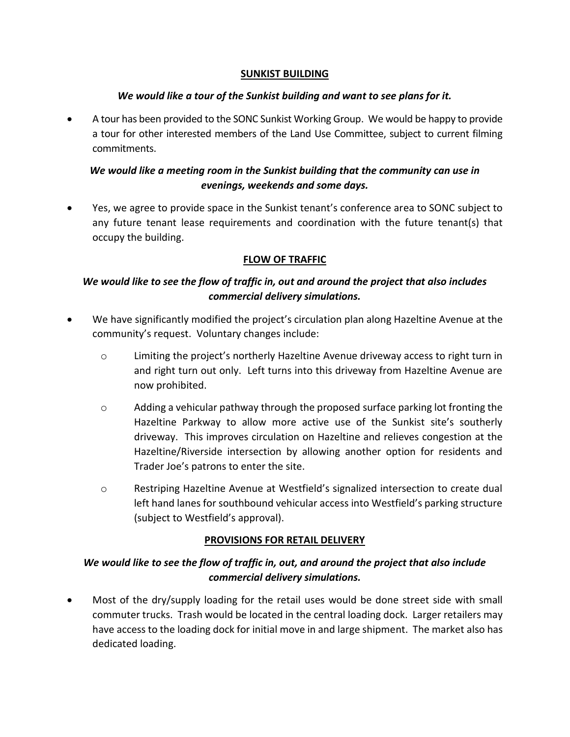#### **SUNKIST BUILDING**

#### *We would like a tour of the Sunkist building and want to see plans for it.*

• A tour has been provided to the SONC Sunkist Working Group. We would be happy to provide a tour for other interested members of the Land Use Committee, subject to current filming commitments.

# *We would like a meeting room in the Sunkist building that the community can use in evenings, weekends and some days.*

• Yes, we agree to provide space in the Sunkist tenant's conference area to SONC subject to any future tenant lease requirements and coordination with the future tenant(s) that occupy the building.

#### **FLOW OF TRAFFIC**

# *We would like to see the flow of traffic in, out and around the project that also includes commercial delivery simulations.*

- We have significantly modified the project's circulation plan along Hazeltine Avenue at the community's request. Voluntary changes include:
	- $\circ$  Limiting the project's northerly Hazeltine Avenue driveway access to right turn in and right turn out only. Left turns into this driveway from Hazeltine Avenue are now prohibited.
	- $\circ$  Adding a vehicular pathway through the proposed surface parking lot fronting the Hazeltine Parkway to allow more active use of the Sunkist site's southerly driveway. This improves circulation on Hazeltine and relieves congestion at the Hazeltine/Riverside intersection by allowing another option for residents and Trader Joe's patrons to enter the site.
	- o Restriping Hazeltine Avenue at Westfield's signalized intersection to create dual left hand lanes for southbound vehicular access into Westfield's parking structure (subject to Westfield's approval).

## **PROVISIONS FOR RETAIL DELIVERY**

# *We would like to see the flow of traffic in, out, and around the project that also include commercial delivery simulations.*

• Most of the dry/supply loading for the retail uses would be done street side with small commuter trucks. Trash would be located in the central loading dock. Larger retailers may have access to the loading dock for initial move in and large shipment. The market also has dedicated loading.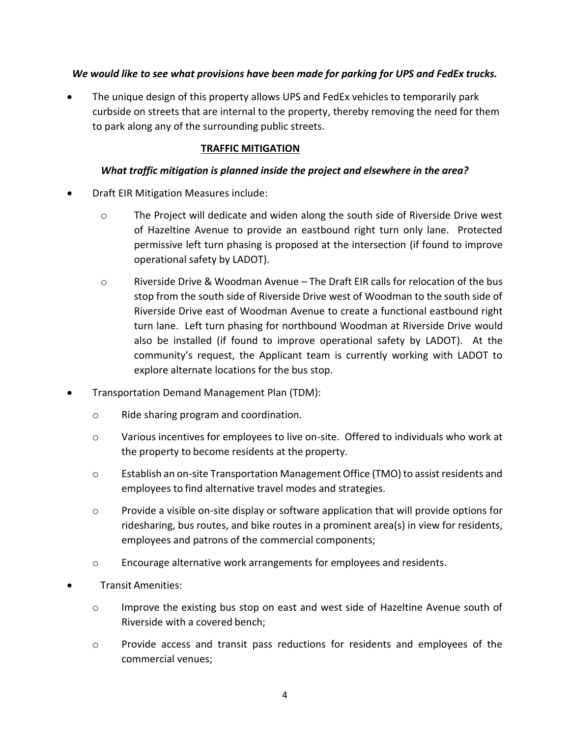## *We would like to see what provisions have been made for parking for UPS and FedEx trucks.*

The unique design of this property allows UPS and FedEx vehicles to temporarily park curbside on streets that are internal to the property, thereby removing the need for them to park along any of the surrounding public streets.

# **TRAFFIC MITIGATION**

## *What traffic mitigation is planned inside the project and elsewhere in the area?*

- Draft EIR Mitigation Measures include:
	- o The Project will dedicate and widen along the south side of Riverside Drive west of Hazeltine Avenue to provide an eastbound right turn only lane. Protected permissive left turn phasing is proposed at the intersection (if found to improve operational safety by LADOT).
	- o Riverside Drive & Woodman Avenue The Draft EIR calls for relocation of the bus stop from the south side of Riverside Drive west of Woodman to the south side of Riverside Drive east of Woodman Avenue to create a functional eastbound right turn lane. Left turn phasing for northbound Woodman at Riverside Drive would also be installed (if found to improve operational safety by LADOT). At the community's request, the Applicant team is currently working with LADOT to explore alternate locations for the bus stop.
- Transportation Demand Management Plan (TDM):
	- o Ride sharing program and coordination.
	- o Various incentives for employees to live on-site. Offered to individuals who work at the property to become residents at the property.
	- o Establish an on-site Transportation Management Office (TMO) to assist residents and employees to find alternative travel modes and strategies.
	- $\circ$  Provide a visible on-site display or software application that will provide options for ridesharing, bus routes, and bike routes in a prominent area(s) in view for residents, employees and patrons of the commercial components;
	- o Encourage alternative work arrangements for employees and residents.
- Transit Amenities:
	- o Improve the existing bus stop on east and west side of Hazeltine Avenue south of Riverside with a covered bench;
	- o Provide access and transit pass reductions for residents and employees of the commercial venues;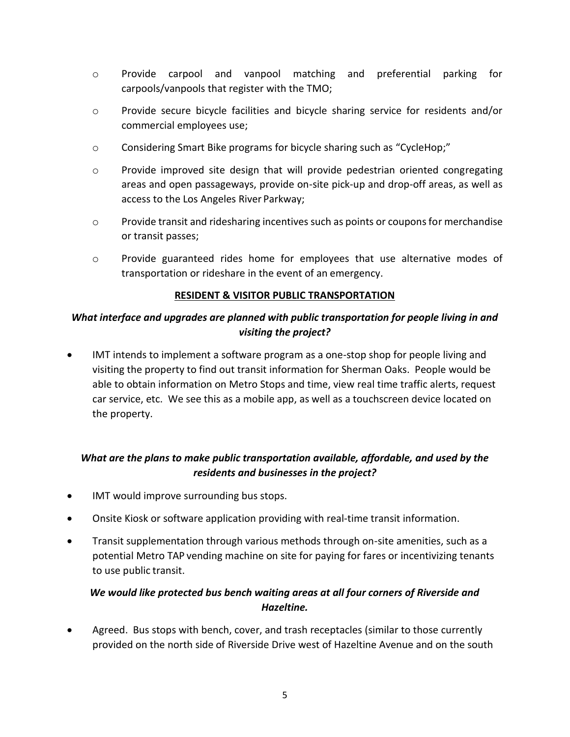- o Provide carpool and vanpool matching and preferential parking for carpools/vanpools that register with the TMO;
- o Provide secure bicycle facilities and bicycle sharing service for residents and/or commercial employees use;
- o Considering Smart Bike programs for bicycle sharing such as "CycleHop;"
- $\circ$  Provide improved site design that will provide pedestrian oriented congregating areas and open passageways, provide on-site pick-up and drop-off areas, as well as access to the Los Angeles River Parkway;
- o Provide transit and ridesharing incentives such as points or coupons for merchandise or transit passes;
- o Provide guaranteed rides home for employees that use alternative modes of transportation or rideshare in the event of an emergency.

## **RESIDENT & VISITOR PUBLIC TRANSPORTATION**

# *What interface and upgrades are planned with public transportation for people living in and visiting the project?*

IMT intends to implement a software program as a one-stop shop for people living and visiting the property to find out transit information for Sherman Oaks. People would be able to obtain information on Metro Stops and time, view real time traffic alerts, request car service, etc. We see this as a mobile app, as well as a touchscreen device located on the property.

# *What are the plans to make public transportation available, affordable, and used by the residents and businesses in the project?*

- IMT would improve surrounding bus stops.
- Onsite Kiosk or software application providing with real-time transit information.
- Transit supplementation through various methods through on-site amenities, such as a potential Metro TAP vending machine on site for paying for fares or incentivizing tenants to use public transit.

# *We would like protected bus bench waiting areas at all four corners of Riverside and Hazeltine.*

• Agreed. Bus stops with bench, cover, and trash receptacles (similar to those currently provided on the north side of Riverside Drive west of Hazeltine Avenue and on the south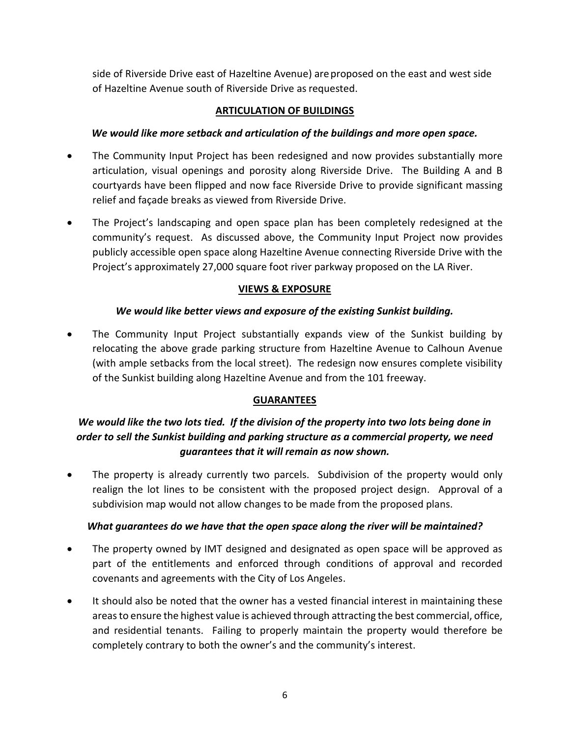side of Riverside Drive east of Hazeltine Avenue) areproposed on the east and west side of Hazeltine Avenue south of Riverside Drive as requested.

## **ARTICULATION OF BUILDINGS**

## *We would like more setback and articulation of the buildings and more open space.*

- The Community Input Project has been redesigned and now provides substantially more articulation, visual openings and porosity along Riverside Drive. The Building A and B courtyards have been flipped and now face Riverside Drive to provide significant massing relief and façade breaks as viewed from Riverside Drive.
- The Project's landscaping and open space plan has been completely redesigned at the community's request. As discussed above, the Community Input Project now provides publicly accessible open space along Hazeltine Avenue connecting Riverside Drive with the Project's approximately 27,000 square foot river parkway proposed on the LA River.

## **VIEWS & EXPOSURE**

## *We would like better views and exposure of the existing Sunkist building.*

• The Community Input Project substantially expands view of the Sunkist building by relocating the above grade parking structure from Hazeltine Avenue to Calhoun Avenue (with ample setbacks from the local street). The redesign now ensures complete visibility of the Sunkist building along Hazeltine Avenue and from the 101 freeway.

# **GUARANTEES**

# *We would like the two lots tied. If the division of the property into two lots being done in order to sell the Sunkist building and parking structure as a commercial property, we need guarantees that it will remain as now shown.*

The property is already currently two parcels. Subdivision of the property would only realign the lot lines to be consistent with the proposed project design. Approval of a subdivision map would not allow changes to be made from the proposed plans.

## *What guarantees do we have that the open space along the river will be maintained?*

- The property owned by IMT designed and designated as open space will be approved as part of the entitlements and enforced through conditions of approval and recorded covenants and agreements with the City of Los Angeles.
- It should also be noted that the owner has a vested financial interest in maintaining these areas to ensure the highest value is achieved through attracting the best commercial, office, and residential tenants. Failing to properly maintain the property would therefore be completely contrary to both the owner's and the community's interest.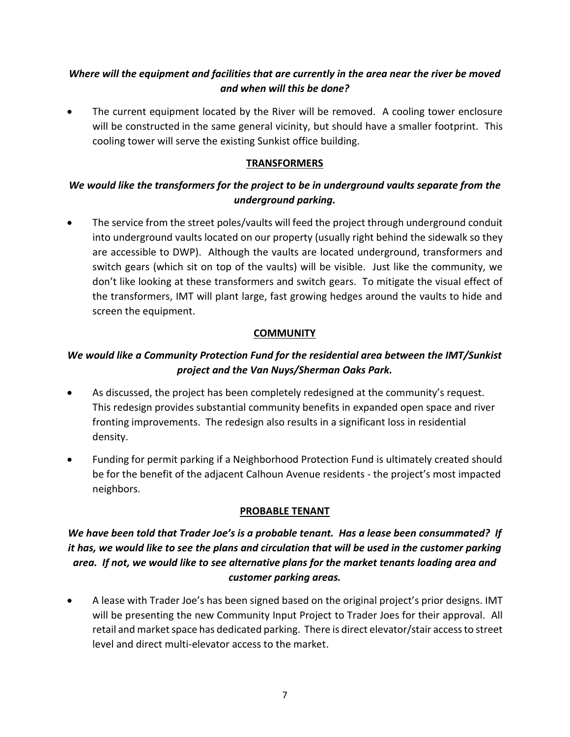# *Where will the equipment and facilities that are currently in the area near the river be moved and when will this be done?*

The current equipment located by the River will be removed. A cooling tower enclosure will be constructed in the same general vicinity, but should have a smaller footprint. This cooling tower will serve the existing Sunkist office building.

## **TRANSFORMERS**

# *We would like the transformers for the project to be in underground vaults separate from the underground parking.*

• The service from the street poles/vaults will feed the project through underground conduit into underground vaults located on our property (usually right behind the sidewalk so they are accessible to DWP). Although the vaults are located underground, transformers and switch gears (which sit on top of the vaults) will be visible. Just like the community, we don't like looking at these transformers and switch gears. To mitigate the visual effect of the transformers, IMT will plant large, fast growing hedges around the vaults to hide and screen the equipment.

# **COMMUNITY**

# *We would like a Community Protection Fund for the residential area between the IMT/Sunkist project and the Van Nuys/Sherman Oaks Park.*

- As discussed, the project has been completely redesigned at the community's request. This redesign provides substantial community benefits in expanded open space and river fronting improvements. The redesign also results in a significant loss in residential density.
- Funding for permit parking if a Neighborhood Protection Fund is ultimately created should be for the benefit of the adjacent Calhoun Avenue residents - the project's most impacted neighbors.

# **PROBABLE TENANT**

# *We have been told that Trader Joe's is a probable tenant. Has a lease been consummated? If it has, we would like to see the plans and circulation that will be used in the customer parking area. If not, we would like to see alternative plans for the market tenants loading area and customer parking areas.*

• A lease with Trader Joe's has been signed based on the original project's prior designs. IMT will be presenting the new Community Input Project to Trader Joes for their approval. All retail and market space has dedicated parking. There is direct elevator/stair access to street level and direct multi-elevator access to the market.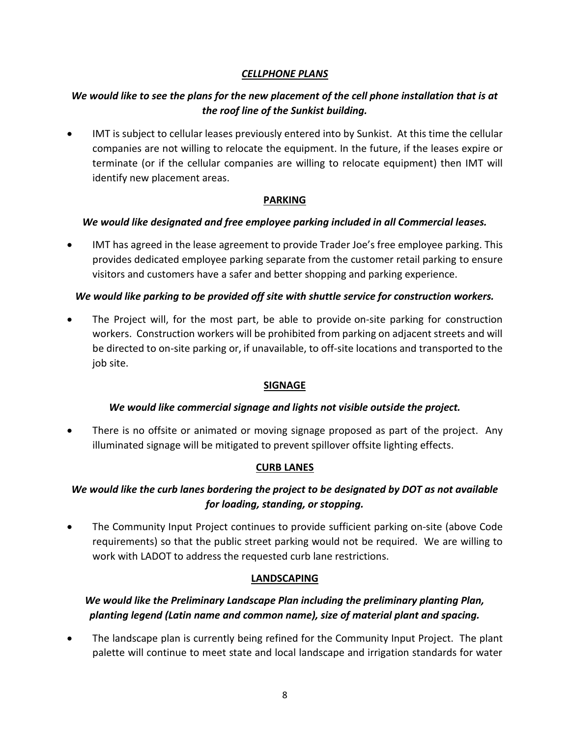## *CELLPHONE PLANS*

## *We would like to see the plans for the new placement of the cell phone installation that is at the roof line of the Sunkist building.*

• IMT is subject to cellular leases previously entered into by Sunkist. At this time the cellular companies are not willing to relocate the equipment. In the future, if the leases expire or terminate (or if the cellular companies are willing to relocate equipment) then IMT will identify new placement areas.

#### **PARKING**

#### *We would like designated and free employee parking included in all Commercial leases.*

• IMT has agreed in the lease agreement to provide Trader Joe's free employee parking. This provides dedicated employee parking separate from the customer retail parking to ensure visitors and customers have a safer and better shopping and parking experience.

#### *We would like parking to be provided off site with shuttle service for construction workers.*

• The Project will, for the most part, be able to provide on-site parking for construction workers. Construction workers will be prohibited from parking on adjacent streets and will be directed to on-site parking or, if unavailable, to off-site locations and transported to the job site.

## **SIGNAGE**

## *We would like commercial signage and lights not visible outside the project.*

There is no offsite or animated or moving signage proposed as part of the project. Any illuminated signage will be mitigated to prevent spillover offsite lighting effects.

## **CURB LANES**

# *We would like the curb lanes bordering the project to be designated by DOT as not available for loading, standing, or stopping.*

• The Community Input Project continues to provide sufficient parking on-site (above Code requirements) so that the public street parking would not be required. We are willing to work with LADOT to address the requested curb lane restrictions.

## **LANDSCAPING**

# *We would like the Preliminary Landscape Plan including the preliminary planting Plan, planting legend (Latin name and common name), size of material plant and spacing.*

• The landscape plan is currently being refined for the Community Input Project. The plant palette will continue to meet state and local landscape and irrigation standards for water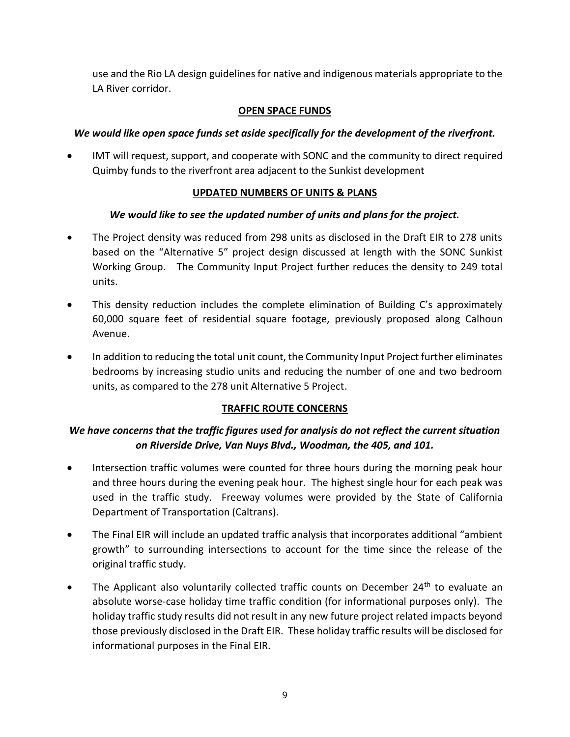use and the Rio LA design guidelines for native and indigenous materials appropriate to the LA River corridor.

## **OPEN SPACE FUNDS**

## *We would like open space funds set aside specifically for the development of the riverfront.*

• IMT will request, support, and cooperate with SONC and the community to direct required Quimby funds to the riverfront area adjacent to the Sunkist development

## **UPDATED NUMBERS OF UNITS & PLANS**

## *We would like to see the updated number of units and plans for the project.*

- The Project density was reduced from 298 units as disclosed in the Draft EIR to 278 units based on the "Alternative 5" project design discussed at length with the SONC Sunkist Working Group. The Community Input Project further reduces the density to 249 total units.
- This density reduction includes the complete elimination of Building C's approximately 60,000 square feet of residential square footage, previously proposed along Calhoun Avenue.
- In addition to reducing the total unit count, the Community Input Project further eliminates bedrooms by increasing studio units and reducing the number of one and two bedroom units, as compared to the 278 unit Alternative 5 Project.

## **TRAFFIC ROUTE CONCERNS**

# *We have concerns that the traffic figures used for analysis do not reflect the current situation on Riverside Drive, Van Nuys Blvd., Woodman, the 405, and 101.*

- Intersection traffic volumes were counted for three hours during the morning peak hour and three hours during the evening peak hour. The highest single hour for each peak was used in the traffic study. Freeway volumes were provided by the State of California Department of Transportation (Caltrans).
- The Final EIR will include an updated traffic analysis that incorporates additional "ambient growth" to surrounding intersections to account for the time since the release of the original traffic study.
- The Applicant also voluntarily collected traffic counts on December 24<sup>th</sup> to evaluate an absolute worse-case holiday time traffic condition (for informational purposes only). The holiday traffic study results did not result in any new future project related impacts beyond those previously disclosed in the Draft EIR. These holiday traffic results will be disclosed for informational purposes in the Final EIR.